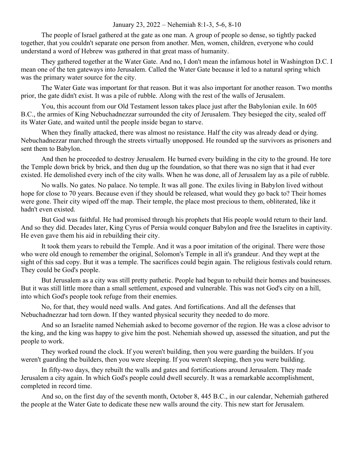## January 23, 2022 – Nehemiah 8:1-3, 5-6, 8-10

The people of Israel gathered at the gate as one man. A group of people so dense, so tightly packed together, that you couldn't separate one person from another. Men, women, children, everyone who could understand a word of Hebrew was gathered in that great mass of humanity.

They gathered together at the Water Gate. And no, I don't mean the infamous hotel in Washington D.C. I mean one of the ten gateways into Jerusalem. Called the Water Gate because it led to a natural spring which was the primary water source for the city.

The Water Gate was important for that reason. But it was also important for another reason. Two months prior, the gate didn't exist. It was a pile of rubble. Along with the rest of the walls of Jerusalem.

You, this account from our Old Testament lesson takes place just after the Babylonian exile. In 605 B.C., the armies of King Nebuchadnezzar surrounded the city of Jerusalem. They besieged the city, sealed off its Water Gate, and waited until the people inside began to starve.

When they finally attacked, there was almost no resistance. Half the city was already dead or dying. Nebuchadnezzar marched through the streets virtually unopposed. He rounded up the survivors as prisoners and sent them to Babylon.

And then he proceeded to destroy Jerusalem. He burned every building in the city to the ground. He tore the Temple down brick by brick, and then dug up the foundation, so that there was no sign that it had ever existed. He demolished every inch of the city walls. When he was done, all of Jerusalem lay as a pile of rubble.

No walls. No gates. No palace. No temple. It was all gone. The exiles living in Babylon lived without hope for close to 70 years. Because even if they should be released, what would they go back to? Their homes were gone. Their city wiped off the map. Their temple, the place most precious to them, obliterated, like it hadn't even existed.

But God was faithful. He had promised through his prophets that His people would return to their land. And so they did. Decades later, King Cyrus of Persia would conquer Babylon and free the Israelites in captivity. He even gave them his aid in rebuilding their city.

It took them years to rebuild the Temple. And it was a poor imitation of the original. There were those who were old enough to remember the original, Solomon's Temple in all it's grandeur. And they wept at the sight of this sad copy. But it was a temple. The sacrifices could begin again. The religious festivals could return. They could be God's people.

But Jerusalem as a city was still pretty pathetic. People had begun to rebuild their homes and businesses. But it was still little more than a small settlement, exposed and vulnerable. This was not God's city on a hill, into which God's people took refuge from their enemies.

No, for that, they would need walls. And gates. And fortifications. And all the defenses that Nebuchadnezzar had torn down. If they wanted physical security they needed to do more.

And so an Israelite named Nehemiah asked to become governor of the region. He was a close advisor to the king, and the king was happy to give him the post. Nehemiah showed up, assessed the situation, and put the people to work.

They worked round the clock. If you weren't building, then you were guarding the builders. If you weren't guarding the builders, then you were sleeping. If you weren't sleeping, then you were building.

In fifty-two days, they rebuilt the walls and gates and fortifications around Jerusalem. They made Jerusalem a city again. In which God's people could dwell securely. It was a remarkable accomplishment, completed in record time.

And so, on the first day of the seventh month, October 8, 445 B.C., in our calendar, Nehemiah gathered the people at the Water Gate to dedicate these new walls around the city. This new start for Jerusalem.